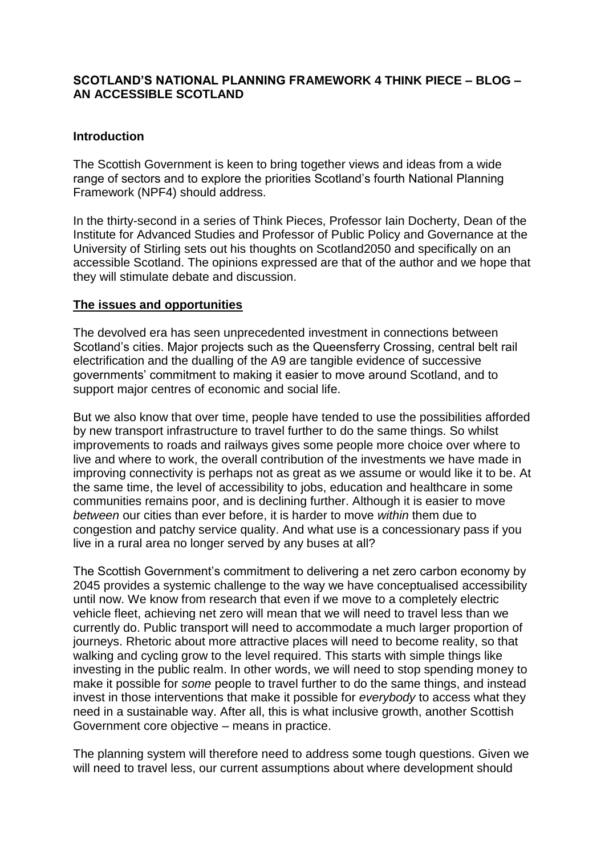### **SCOTLAND'S NATIONAL PLANNING FRAMEWORK 4 THINK PIECE – BLOG – AN ACCESSIBLE SCOTLAND**

### **Introduction**

The Scottish Government is keen to bring together views and ideas from a wide range of sectors and to explore the priorities Scotland's fourth National Planning Framework (NPF4) should address.

In the thirty-second in a series of Think Pieces, Professor Iain Docherty, Dean of the Institute for Advanced Studies and Professor of Public Policy and Governance at the University of Stirling sets out his thoughts on Scotland2050 and specifically on an accessible Scotland. The opinions expressed are that of the author and we hope that they will stimulate debate and discussion.

### **The issues and opportunities**

The devolved era has seen unprecedented investment in connections between Scotland's cities. Major projects such as the Queensferry Crossing, central belt rail electrification and the dualling of the A9 are tangible evidence of successive governments' commitment to making it easier to move around Scotland, and to support major centres of economic and social life.

But we also know that over time, people have tended to use the possibilities afforded by new transport infrastructure to travel further to do the same things. So whilst improvements to roads and railways gives some people more choice over where to live and where to work, the overall contribution of the investments we have made in improving connectivity is perhaps not as great as we assume or would like it to be. At the same time, the level of accessibility to jobs, education and healthcare in some communities remains poor, and is declining further. Although it is easier to move *between* our cities than ever before, it is harder to move *within* them due to congestion and patchy service quality. And what use is a concessionary pass if you live in a rural area no longer served by any buses at all?

The Scottish Government's commitment to delivering a net zero carbon economy by 2045 provides a systemic challenge to the way we have conceptualised accessibility until now. We know from research that even if we move to a completely electric vehicle fleet, achieving net zero will mean that we will need to travel less than we currently do. Public transport will need to accommodate a much larger proportion of journeys. Rhetoric about more attractive places will need to become reality, so that walking and cycling grow to the level required. This starts with simple things like investing in the public realm. In other words, we will need to stop spending money to make it possible for *some* people to travel further to do the same things, and instead invest in those interventions that make it possible for *everybody* to access what they need in a sustainable way. After all, this is what inclusive growth, another Scottish Government core objective – means in practice.

The planning system will therefore need to address some tough questions. Given we will need to travel less, our current assumptions about where development should